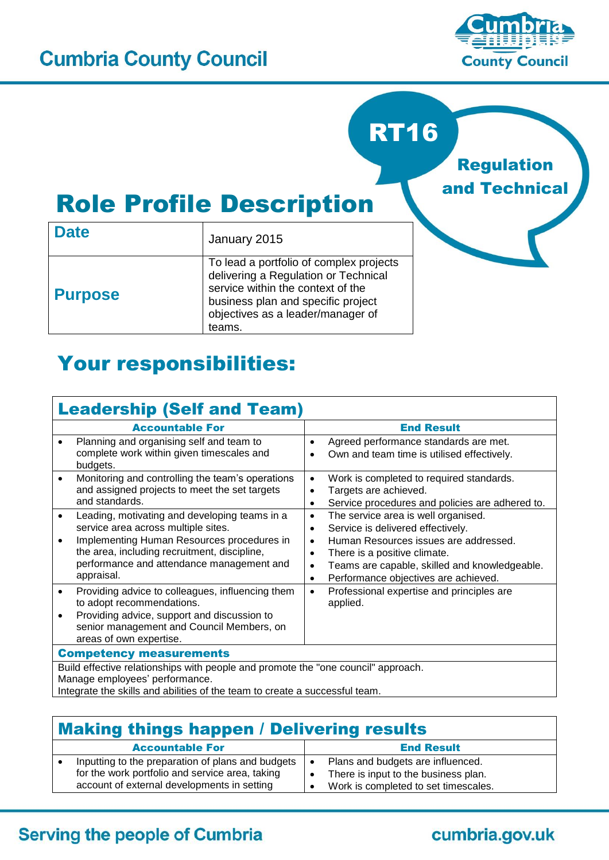

# RT16

Regulation and Technical

# Role Profile Description

| <b>Date</b>    | January 2015                                                                                                                                                                                              |  |  |
|----------------|-----------------------------------------------------------------------------------------------------------------------------------------------------------------------------------------------------------|--|--|
| <b>Purpose</b> | To lead a portfolio of complex projects<br>delivering a Regulation or Technical<br>service within the context of the<br>business plan and specific project<br>objectives as a leader/manager of<br>teams. |  |  |

# Your responsibilities:

#### Leadership (Self and Team) Accountable For **End Result** • Planning and organising self and team to complete work within given timescales and budgets. • Agreed performance standards are met. Own and team time is utilised effectively. Monitoring and controlling the team's operations and assigned projects to meet the set targets and standards. Work is completed to required standards. Targets are achieved. Service procedures and policies are adhered to. Leading, motivating and developing teams in a service area across multiple sites. Implementing Human Resources procedures in the area, including recruitment, discipline, performance and attendance management and appraisal. • The service area is well organised. • Service is delivered effectively. Human Resources issues are addressed. There is a positive climate. • Teams are capable, skilled and knowledgeable. • Performance objectives are achieved. • Providing advice to colleagues, influencing them to adopt recommendations. Providing advice, support and discussion to senior management and Council Members, on areas of own expertise. • Professional expertise and principles are applied. Competency measurements Build effective relationships with people and promote the "one council" approach. Manage employees' performance. Integrate the skills and abilities of the team to create a successful team.

## Making things happen / Delivering results

| <b>Accountable For</b>                                                 | <b>End Result</b>                    |
|------------------------------------------------------------------------|--------------------------------------|
| Inputting to the preparation of plans and budgets $\mathbf{I} \bullet$ | Plans and budgets are influenced.    |
| for the work portfolio and service area, taking                        | There is input to the business plan. |
| account of external developments in setting                            | Work is completed to set timescales. |

### **Serving the people of Cumbria**

### cumbria.gov.uk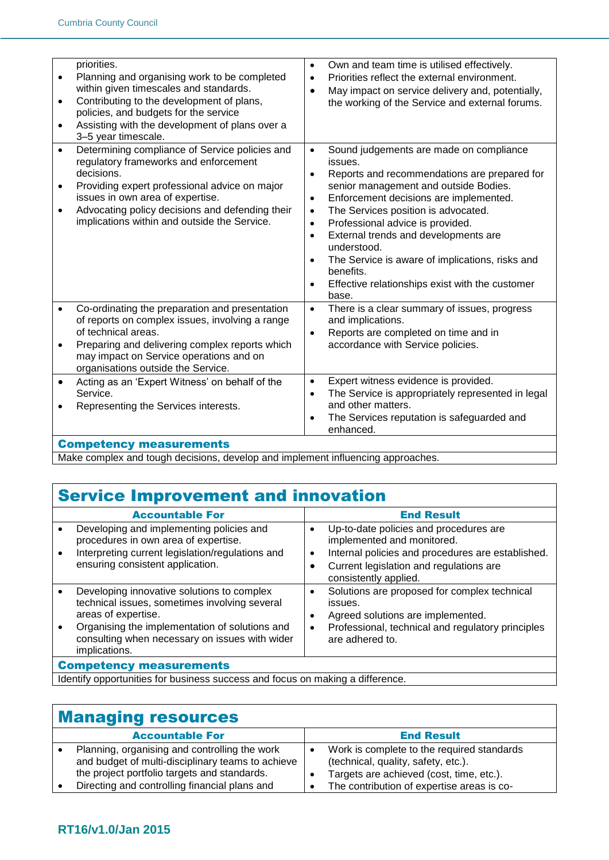| $\bullet$<br>٠                      | priorities.<br>Planning and organising work to be completed<br>within given timescales and standards.<br>Contributing to the development of plans,<br>policies, and budgets for the service<br>Assisting with the development of plans over a<br>3-5 year timescale.                          | $\bullet$<br>$\bullet$<br>$\bullet$                                                                  | Own and team time is utilised effectively.<br>Priorities reflect the external environment.<br>May impact on service delivery and, potentially,<br>the working of the Service and external forums.                                                                                                                                                                                                                                                   |
|-------------------------------------|-----------------------------------------------------------------------------------------------------------------------------------------------------------------------------------------------------------------------------------------------------------------------------------------------|------------------------------------------------------------------------------------------------------|-----------------------------------------------------------------------------------------------------------------------------------------------------------------------------------------------------------------------------------------------------------------------------------------------------------------------------------------------------------------------------------------------------------------------------------------------------|
| $\bullet$<br>$\bullet$<br>$\bullet$ | Determining compliance of Service policies and<br>regulatory frameworks and enforcement<br>decisions.<br>Providing expert professional advice on major<br>issues in own area of expertise.<br>Advocating policy decisions and defending their<br>implications within and outside the Service. | $\bullet$<br>$\bullet$<br>$\bullet$<br>$\bullet$<br>$\bullet$<br>$\bullet$<br>$\bullet$<br>$\bullet$ | Sound judgements are made on compliance<br>issues.<br>Reports and recommendations are prepared for<br>senior management and outside Bodies.<br>Enforcement decisions are implemented.<br>The Services position is advocated.<br>Professional advice is provided.<br>External trends and developments are<br>understood.<br>The Service is aware of implications, risks and<br>benefits.<br>Effective relationships exist with the customer<br>base. |
| $\bullet$<br>$\bullet$              | Co-ordinating the preparation and presentation<br>of reports on complex issues, involving a range<br>of technical areas.<br>Preparing and delivering complex reports which<br>may impact on Service operations and on<br>organisations outside the Service.                                   | $\bullet$<br>$\bullet$                                                                               | There is a clear summary of issues, progress<br>and implications.<br>Reports are completed on time and in<br>accordance with Service policies.                                                                                                                                                                                                                                                                                                      |
| $\bullet$                           | Acting as an 'Expert Witness' on behalf of the<br>Service.<br>Representing the Services interests.                                                                                                                                                                                            | $\bullet$<br>$\bullet$                                                                               | Expert witness evidence is provided.<br>The Service is appropriately represented in legal<br>and other matters.<br>The Services reputation is safeguarded and<br>enhanced.                                                                                                                                                                                                                                                                          |
|                                     | <b>Competency measurements</b>                                                                                                                                                                                                                                                                |                                                                                                      |                                                                                                                                                                                                                                                                                                                                                                                                                                                     |

Make complex and tough decisions, develop and implement influencing approaches.

# Service Improvement and innovation

| <b>Accountable For</b>                                                                                                                                                                                                                  | <b>End Result</b>                                                                                                                                                                                           |  |
|-----------------------------------------------------------------------------------------------------------------------------------------------------------------------------------------------------------------------------------------|-------------------------------------------------------------------------------------------------------------------------------------------------------------------------------------------------------------|--|
| Developing and implementing policies and<br>procedures in own area of expertise.<br>Interpreting current legislation/regulations and<br>ensuring consistent application.                                                                | Up-to-date policies and procedures are<br>implemented and monitored.<br>Internal policies and procedures are established.<br>$\bullet$<br>Current legislation and regulations are<br>consistently applied.  |  |
| Developing innovative solutions to complex<br>technical issues, sometimes involving several<br>areas of expertise.<br>Organising the implementation of solutions and<br>consulting when necessary on issues with wider<br>implications. | Solutions are proposed for complex technical<br>$\bullet$<br>issues.<br>Agreed solutions are implemented.<br>$\bullet$<br>Professional, technical and regulatory principles<br>$\bullet$<br>are adhered to. |  |
| <b>Competency measurements</b>                                                                                                                                                                                                          |                                                                                                                                                                                                             |  |
| Identify appartunities for business suscess and feaus on making a difference                                                                                                                                                            |                                                                                                                                                                                                             |  |

I Identify opportunities for business success and focus on making a difference.

| <b>Managing resources</b> |                                                                                                                                                    |  |                                                                                                                               |
|---------------------------|----------------------------------------------------------------------------------------------------------------------------------------------------|--|-------------------------------------------------------------------------------------------------------------------------------|
|                           | <b>Accountable For</b>                                                                                                                             |  | <b>End Result</b>                                                                                                             |
|                           | Planning, organising and controlling the work<br>and budget of multi-disciplinary teams to achieve<br>the project portfolio targets and standards. |  | Work is complete to the required standards<br>(technical, quality, safety, etc.).<br>Targets are achieved (cost, time, etc.). |
|                           | Directing and controlling financial plans and                                                                                                      |  | The contribution of expertise areas is co-                                                                                    |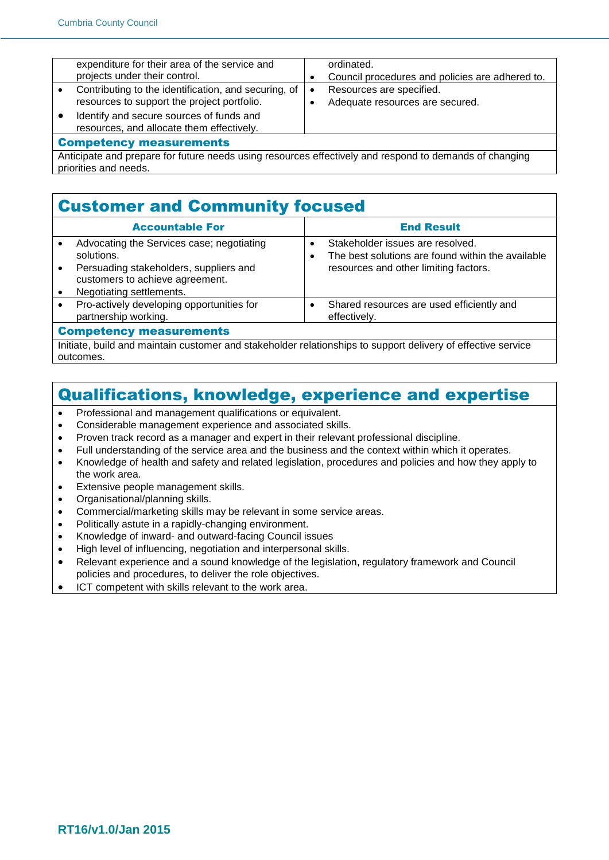|                                                                                                        | expenditure for their area of the service and        |           | ordinated.                                      |
|--------------------------------------------------------------------------------------------------------|------------------------------------------------------|-----------|-------------------------------------------------|
|                                                                                                        | projects under their control.                        |           | Council procedures and policies are adhered to. |
|                                                                                                        | Contributing to the identification, and securing, of | $\bullet$ | Resources are specified.                        |
|                                                                                                        | resources to support the project portfolio.          |           | Adequate resources are secured.                 |
|                                                                                                        | Identify and secure sources of funds and             |           |                                                 |
|                                                                                                        | resources, and allocate them effectively.            |           |                                                 |
| <b>Competency measurements</b>                                                                         |                                                      |           |                                                 |
| Anticipate and prepare for future needs using resources effectively and respond to demands of changing |                                                      |           |                                                 |
| priorities and needs.                                                                                  |                                                      |           |                                                 |

#### Customer and Community focused

| <b>Accountable For</b>                                                                                                                                           | <b>End Result</b>                                                                                                              |  |
|------------------------------------------------------------------------------------------------------------------------------------------------------------------|--------------------------------------------------------------------------------------------------------------------------------|--|
| Advocating the Services case; negotiating<br>solutions.<br>Persuading stakeholders, suppliers and<br>customers to achieve agreement.<br>Negotiating settlements. | Stakeholder issues are resolved.<br>The best solutions are found within the available<br>resources and other limiting factors. |  |
| Pro-actively developing opportunities for<br>partnership working.                                                                                                | Shared resources are used efficiently and<br>effectively.                                                                      |  |
| <b>Competency measurements</b>                                                                                                                                   |                                                                                                                                |  |

Initiate, build and maintain customer and stakeholder relationships to support delivery of effective service outcomes.

### Qualifications, knowledge, experience and expertise

- Professional and management qualifications or equivalent.
- Considerable management experience and associated skills.
- Proven track record as a manager and expert in their relevant professional discipline.
- Full understanding of the service area and the business and the context within which it operates.
- Knowledge of health and safety and related legislation, procedures and policies and how they apply to the work area.
- **Extensive people management skills.**
- Organisational/planning skills.
- Commercial/marketing skills may be relevant in some service areas.
- Politically astute in a rapidly-changing environment.
- Knowledge of inward- and outward-facing Council issues
- High level of influencing, negotiation and interpersonal skills.
- Relevant experience and a sound knowledge of the legislation, regulatory framework and Council policies and procedures, to deliver the role objectives.
- ICT competent with skills relevant to the work area.